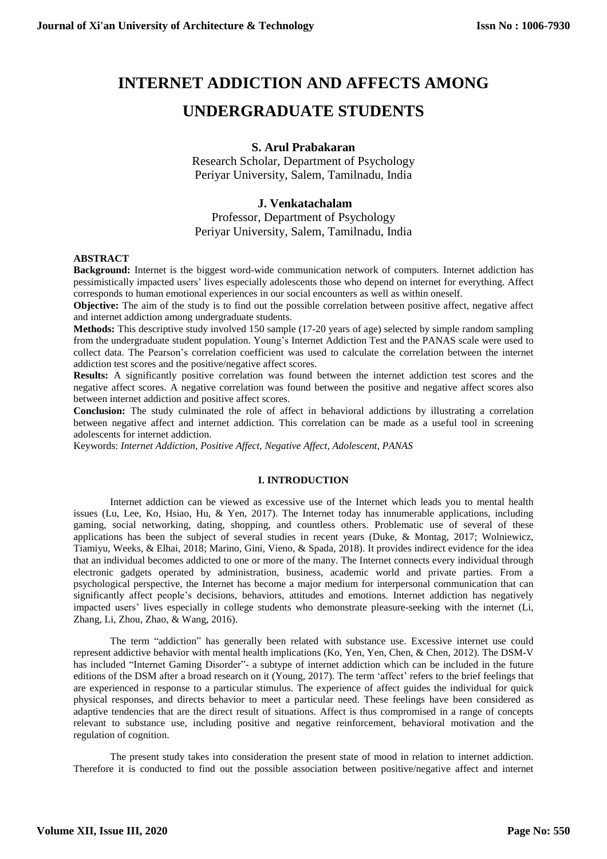# **INTERNET ADDICTION AND AFFECTS AMONG UNDERGRADUATE STUDENTS**

# **S. Arul Prabakaran**

Research Scholar, Department of Psychology Periyar University, Salem, Tamilnadu, India

### **J. Venkatachalam**

# Professor, Department of Psychology Periyar University, Salem, Tamilnadu, India

#### **ABSTRACT**

**Background:** Internet is the biggest word-wide communication network of computers. Internet addiction has pessimistically impacted users' lives especially adolescents those who depend on internet for everything. Affect corresponds to human emotional experiences in our social encounters as well as within oneself.

**Objective:** The aim of the study is to find out the possible correlation between positive affect, negative affect and internet addiction among undergraduate students.

**Methods:** This descriptive study involved 150 sample (17-20 years of age) selected by simple random sampling from the undergraduate student population. Young's Internet Addiction Test and the PANAS scale were used to collect data. The Pearson's correlation coefficient was used to calculate the correlation between the internet addiction test scores and the positive/negative affect scores.

**Results:** A significantly positive correlation was found between the internet addiction test scores and the negative affect scores. A negative correlation was found between the positive and negative affect scores also between internet addiction and positive affect scores.

**Conclusion:** The study culminated the role of affect in behavioral addictions by illustrating a correlation between negative affect and internet addiction. This correlation can be made as a useful tool in screening adolescents for internet addiction.

Keywords: *Internet Addiction, Positive Affect, Negative Affect, Adolescent, PANAS*

#### **I. INTRODUCTION**

Internet addiction can be viewed as excessive use of the Internet which leads you to mental health issues (Lu, Lee, Ko, Hsiao, Hu, & Yen, 2017). The Internet today has innumerable applications, including gaming, social networking, dating, shopping, and countless others. Problematic use of several of these applications has been the subject of several studies in recent years (Duke, & Montag, 2017; Wolniewicz, Tiamiyu, Weeks, & Elhai, 2018; Marino, Gini, Vieno, & Spada, 2018). It provides indirect evidence for the idea that an individual becomes addicted to one or more of the many. The Internet connects every individual through electronic gadgets operated by administration, business, academic world and private parties. From a psychological perspective, the Internet has become a major medium for interpersonal communication that can significantly affect people's decisions, behaviors, attitudes and emotions. Internet addiction has negatively impacted users' lives especially in college students who demonstrate pleasure-seeking with the internet (Li, Zhang, Li, Zhou, Zhao, & Wang, 2016).

The term "addiction" has generally been related with substance use. Excessive internet use could represent addictive behavior with mental health implications (Ko, Yen, Yen, Chen, & Chen, 2012). The DSM-V has included "Internet Gaming Disorder"- a subtype of internet addiction which can be included in the future editions of the DSM after a broad research on it (Young, 2017). The term 'affect' refers to the brief feelings that are experienced in response to a particular stimulus. The experience of affect guides the individual for quick physical responses, and directs behavior to meet a particular need. These feelings have been considered as adaptive tendencies that are the direct result of situations. Affect is thus compromised in a range of concepts relevant to substance use, including positive and negative reinforcement, behavioral motivation and the regulation of cognition.

The present study takes into consideration the present state of mood in relation to internet addiction. Therefore it is conducted to find out the possible association between positive/negative affect and internet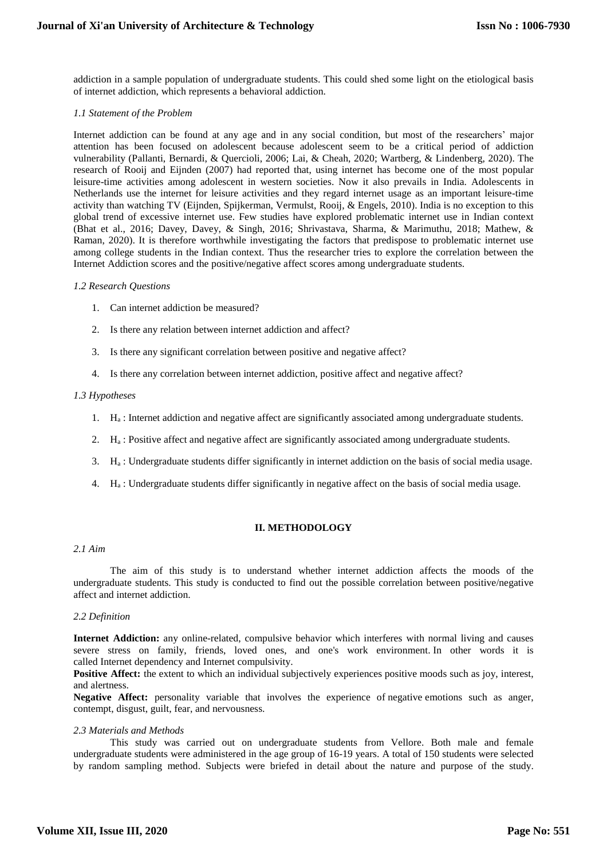addiction in a sample population of undergraduate students. This could shed some light on the etiological basis of internet addiction, which represents a behavioral addiction.

#### *1.1 Statement of the Problem*

Internet addiction can be found at any age and in any social condition, but most of the researchers' major attention has been focused on adolescent because adolescent seem to be a critical period of addiction vulnerability (Pallanti, Bernardi, & Quercioli, 2006; Lai, & Cheah, 2020; Wartberg, & Lindenberg, 2020). The research of Rooij and Eijnden (2007) had reported that, using internet has become one of the most popular leisure-time activities among adolescent in western societies. Now it also prevails in India. Adolescents in Netherlands use the internet for leisure activities and they regard internet usage as an important leisure-time activity than watching TV (Eijnden, Spijkerman, Vermulst, Rooij, & Engels, 2010). India is no exception to this global trend of excessive internet use. Few studies have explored problematic internet use in Indian context (Bhat et al., 2016; Davey, Davey, & Singh, 2016; Shrivastava, Sharma, & Marimuthu, 2018; Mathew, & Raman, 2020). It is therefore worthwhile investigating the factors that predispose to problematic internet use among college students in the Indian context. Thus the researcher tries to explore the correlation between the Internet Addiction scores and the positive/negative affect scores among undergraduate students.

#### *1.2 Research Questions*

- 1. Can internet addiction be measured?
- 2. Is there any relation between internet addiction and affect?
- 3. Is there any significant correlation between positive and negative affect?
- 4. Is there any correlation between internet addiction, positive affect and negative affect?

#### *1.3 Hypotheses*

- 1. H<sup>a</sup> : Internet addiction and negative affect are significantly associated among undergraduate students.
- 2. H<sup>a</sup> : Positive affect and negative affect are significantly associated among undergraduate students.
- 3. H<sup>a</sup> : Undergraduate students differ significantly in internet addiction on the basis of social media usage.
- 4. H<sup>a</sup> : Undergraduate students differ significantly in negative affect on the basis of social media usage.

#### **II. METHODOLOGY**

#### *2.1 Aim*

The aim of this study is to understand whether internet addiction affects the moods of the undergraduate students. This study is conducted to find out the possible correlation between positive/negative affect and internet addiction.

#### *2.2 Definition*

**Internet Addiction:** any online-related, compulsive behavior which interferes with normal living and causes severe stress on family, friends, loved ones, and one's work environment. In other words it is called Internet dependency and Internet compulsivity.

**Positive Affect:** the extent to which an individual subjectively experiences positive moods such as joy, interest, and alertness.

**Negative Affect:** personality variable that involves the experience of negative emotions such as anger, contempt, disgust, guilt, fear, and nervousness.

#### *2.3 Materials and Methods*

This study was carried out on undergraduate students from Vellore. Both male and female undergraduate students were administered in the age group of 16-19 years. A total of 150 students were selected by random sampling method. Subjects were briefed in detail about the nature and purpose of the study.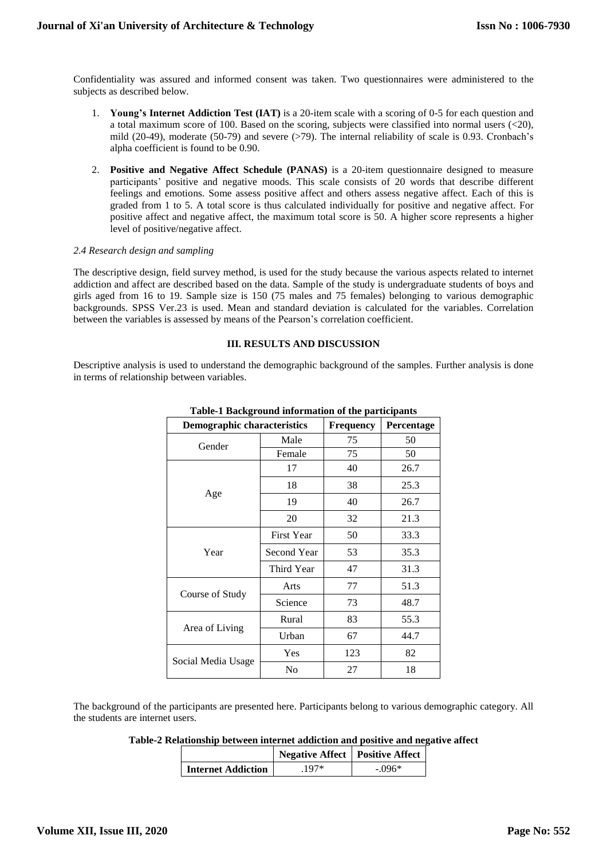Confidentiality was assured and informed consent was taken. Two questionnaires were administered to the subjects as described below.

- 1. **Young's Internet Addiction Test (IAT)** is a 20-item scale with a scoring of 0-5 for each question and a total maximum score of 100. Based on the scoring, subjects were classified into normal users  $(<20$ ), mild (20-49), moderate (50-79) and severe (>79). The internal reliability of scale is 0.93. Cronbach's alpha coefficient is found to be 0.90.
- 2. **Positive and Negative Affect Schedule (PANAS)** is a 20-item questionnaire designed to measure participants' positive and negative moods. This scale consists of 20 words that describe different feelings and emotions. Some assess positive affect and others assess negative affect. Each of this is graded from 1 to 5. A total score is thus calculated individually for positive and negative affect. For positive affect and negative affect, the maximum total score is 50. A higher score represents a higher level of positive/negative affect.

#### *2.4 Research design and sampling*

The descriptive design, field survey method, is used for the study because the various aspects related to internet addiction and affect are described based on the data. Sample of the study is undergraduate students of boys and girls aged from 16 to 19. Sample size is 150 (75 males and 75 females) belonging to various demographic backgrounds. SPSS Ver.23 is used. Mean and standard deviation is calculated for the variables. Correlation between the variables is assessed by means of the Pearson's correlation coefficient.

#### **III. RESULTS AND DISCUSSION**

Descriptive analysis is used to understand the demographic background of the samples. Further analysis is done in terms of relationship between variables.

| <b>Demographic characteristics</b> |                   | Frequency | Percentage |
|------------------------------------|-------------------|-----------|------------|
| Gender                             | Male              | 75        | 50         |
|                                    | Female            | 75        | 50         |
|                                    | 17                | 40        | 26.7       |
| Age                                | 18                | 38        | 25.3       |
|                                    | 19                | 40        | 26.7       |
|                                    | 20                | 32        | 21.3       |
| Year                               | <b>First Year</b> | 50        | 33.3       |
|                                    | Second Year       | 53        | 35.3       |
|                                    | Third Year        | 47        | 31.3       |
| Course of Study                    | Arts              | 77        | 51.3       |
|                                    | Science           | 73        | 48.7       |
| Area of Living                     | Rural             | 83        | 55.3       |
|                                    | Urban             | 67        | 44.7       |
| Social Media Usage                 | Yes               | 123       | 82         |
|                                    | N <sub>0</sub>    | 27        | 18         |

#### **Table-1 Background information of the participants**

The background of the participants are presented here. Participants belong to various demographic category. All the students are internet users.

| Table-2 Relationship between internet addiction and positive and negative affect |  |
|----------------------------------------------------------------------------------|--|
|----------------------------------------------------------------------------------|--|

|                           | <b>Negative Affect</b>   Positive Affect |        |  |
|---------------------------|------------------------------------------|--------|--|
| <b>Internet Addiction</b> | $197*$                                   | - 096* |  |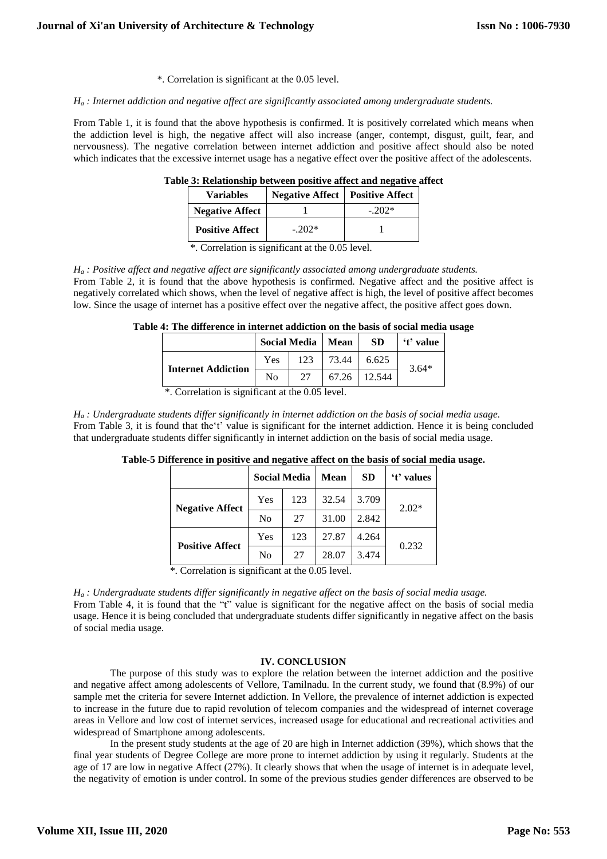\*. Correlation is significant at the 0.05 level.

#### *H<sup>a</sup> : Internet addiction and negative affect are significantly associated among undergraduate students.*

From Table 1, it is found that the above hypothesis is confirmed. It is positively correlated which means when the addiction level is high, the negative affect will also increase (anger, contempt, disgust, guilt, fear, and nervousness). The negative correlation between internet addiction and positive affect should also be noted which indicates that the excessive internet usage has a negative effect over the positive affect of the adolescents.

| <b>Variables</b>       | <b>Negative Affect</b>   Positive Affect |         |  |
|------------------------|------------------------------------------|---------|--|
| <b>Negative Affect</b> |                                          | $-202*$ |  |
| <b>Positive Affect</b> | $-202*$                                  |         |  |

**Table 3: Relationship between positive affect and negative affect**

\*. Correlation is significant at the 0.05 level.

#### *H<sup>a</sup> : Positive affect and negative affect are significantly associated among undergraduate students.* From Table 2, it is found that the above hypothesis is confirmed. Negative affect and the positive affect is negatively correlated which shows, when the level of negative affect is high, the level of positive affect becomes low. Since the usage of internet has a positive effect over the negative affect, the positive affect goes down.

#### **Table 4: The difference in internet addiction on the basis of social media usage**

|                           | Social Media   Mean |     |       | <b>SD</b> | 't' value |
|---------------------------|---------------------|-----|-------|-----------|-----------|
| <b>Internet Addiction</b> | Yes                 | 123 | 73.44 | 6.625     | $3.64*$   |
|                           | No                  | 27  | 67.26 | 12.544    |           |

\*. Correlation is significant at the 0.05 level.

 $H_a$ : Undergraduate students differ significantly in internet addiction on the basis of social media usage. From Table 3, it is found that the't' value is significant for the internet addiction. Hence it is being concluded that undergraduate students differ significantly in internet addiction on the basis of social media usage.

|                        | <b>Social Media</b> |     | <b>Mean</b> | <b>SD</b> | 't' values |
|------------------------|---------------------|-----|-------------|-----------|------------|
| <b>Negative Affect</b> | Yes                 | 123 | 32.54       | 3.709     | $2.02*$    |
|                        | N <sub>0</sub>      | 27  | 31.00       | 2.842     |            |
| <b>Positive Affect</b> | Yes                 | 123 | 27.87       | 4.264     | 0.232      |
|                        | No                  | 27  | 28.07       | 3.474     |            |

# **Table-5 Difference in positive and negative affect on the basis of social media usage.**

\*. Correlation is significant at the 0.05 level.

*H<sup>a</sup> : Undergraduate students differ significantly in negative affect on the basis of social media usage.* From Table 4, it is found that the "t" value is significant for the negative affect on the basis of social media usage. Hence it is being concluded that undergraduate students differ significantly in negative affect on the basis of social media usage.

#### **IV. CONCLUSION**

The purpose of this study was to explore the relation between the internet addiction and the positive and negative affect among adolescents of Vellore, Tamilnadu. In the current study, we found that (8.9%) of our sample met the criteria for severe Internet addiction. In Vellore, the prevalence of internet addiction is expected to increase in the future due to rapid revolution of telecom companies and the widespread of internet coverage areas in Vellore and low cost of internet services, increased usage for educational and recreational activities and widespread of Smartphone among adolescents.

In the present study students at the age of 20 are high in Internet addiction (39%), which shows that the final year students of Degree College are more prone to internet addiction by using it regularly. Students at the age of 17 are low in negative Affect (27%). It clearly shows that when the usage of internet is in adequate level, the negativity of emotion is under control. In some of the previous studies gender differences are observed to be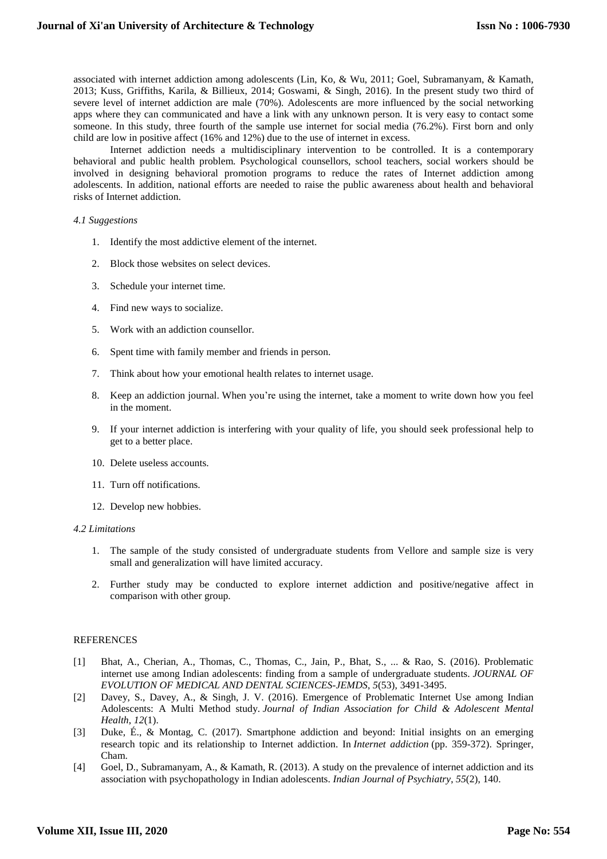associated with internet addiction among adolescents (Lin, Ko, & Wu, 2011; Goel, Subramanyam, & Kamath, 2013; Kuss, Griffiths, Karila, & Billieux, 2014; Goswami, & Singh, 2016). In the present study two third of severe level of internet addiction are male (70%). Adolescents are more influenced by the social networking apps where they can communicated and have a link with any unknown person. It is very easy to contact some someone. In this study, three fourth of the sample use internet for social media (76.2%). First born and only child are low in positive affect (16% and 12%) due to the use of internet in excess.

Internet addiction needs a multidisciplinary intervention to be controlled. It is a contemporary behavioral and public health problem. Psychological counsellors, school teachers, social workers should be involved in designing behavioral promotion programs to reduce the rates of Internet addiction among adolescents. In addition, national efforts are needed to raise the public awareness about health and behavioral risks of Internet addiction.

#### *4.1 Suggestions*

- 1. Identify the most addictive element of the internet.
- 2. Block those websites on select devices.
- 3. Schedule your internet time.
- 4. Find new ways to socialize.
- 5. Work with an addiction counsellor.
- 6. Spent time with family member and friends in person.
- 7. Think about how your emotional health relates to internet usage.
- 8. Keep an addiction journal. When you're using the internet, take a moment to write down how you feel in the moment.
- 9. If your internet addiction is interfering with your quality of life, you should seek professional help to get to a better place.
- 10. Delete useless accounts.
- 11. Turn off notifications.
- 12. Develop new hobbies.

#### *4.2 Limitations*

- 1. The sample of the study consisted of undergraduate students from Vellore and sample size is very small and generalization will have limited accuracy.
- 2. Further study may be conducted to explore internet addiction and positive/negative affect in comparison with other group.

#### REFERENCES

- [1] Bhat, A., Cherian, A., Thomas, C., Thomas, C., Jain, P., Bhat, S., ... & Rao, S. (2016). Problematic internet use among Indian adolescents: finding from a sample of undergraduate students. *JOURNAL OF EVOLUTION OF MEDICAL AND DENTAL SCIENCES-JEMDS*, *5*(53), 3491-3495.
- [2] Davey, S., Davey, A., & Singh, J. V. (2016). Emergence of Problematic Internet Use among Indian Adolescents: A Multi Method study. *Journal of Indian Association for Child & Adolescent Mental Health*, *12*(1).
- [3] Duke, É., & Montag, C. (2017). Smartphone addiction and beyond: Initial insights on an emerging research topic and its relationship to Internet addiction. In *Internet addiction* (pp. 359-372). Springer, Cham.
- [4] Goel, D., Subramanyam, A., & Kamath, R. (2013). A study on the prevalence of internet addiction and its association with psychopathology in Indian adolescents. *Indian Journal of Psychiatry*, *55*(2), 140.